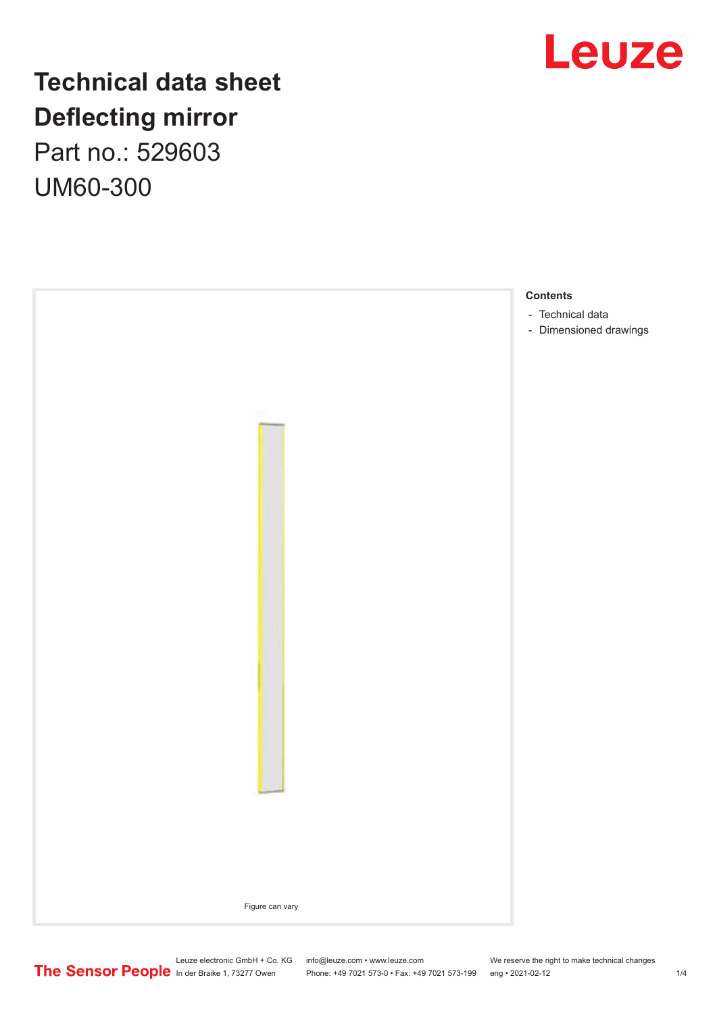

# **Technical data sheet Deflecting mirror** Part no.: 529603

UM60-300

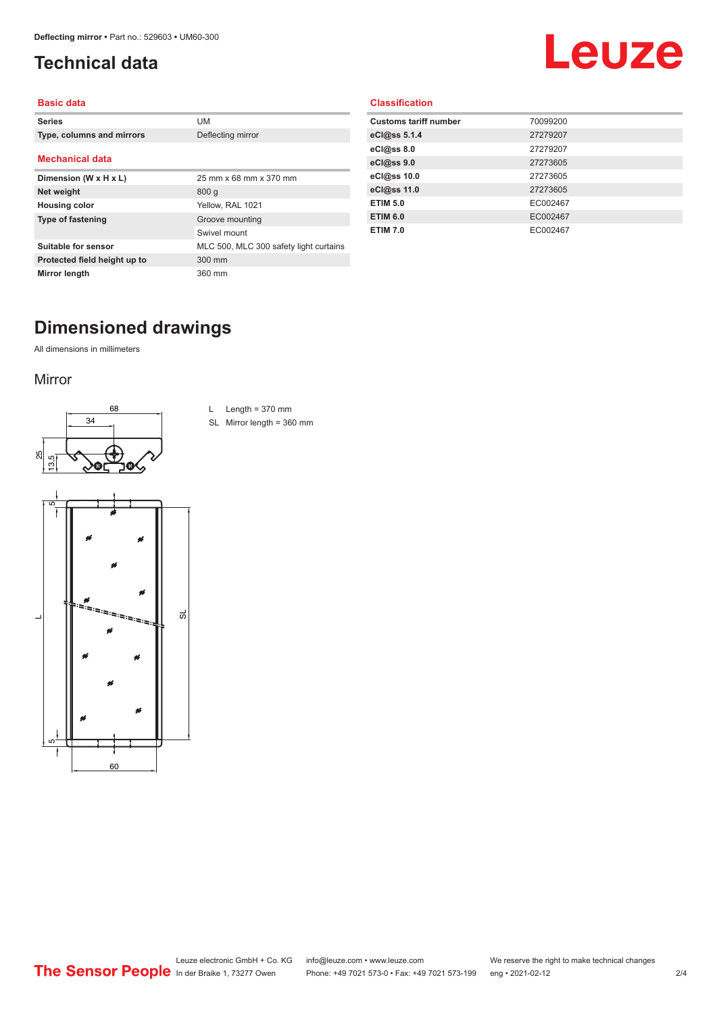## <span id="page-1-0"></span>**Technical data**

# Leuze

#### **Basic data**

| <b>Series</b>                | UM                                     |
|------------------------------|----------------------------------------|
| Type, columns and mirrors    | Deflecting mirror                      |
| <b>Mechanical data</b>       |                                        |
|                              |                                        |
| Dimension (W x H x L)        | 25 mm x 68 mm x 370 mm                 |
| Net weight                   | 800q                                   |
| <b>Housing color</b>         | Yellow, RAL 1021                       |
| <b>Type of fastening</b>     | Groove mounting                        |
|                              | Swivel mount                           |
| Suitable for sensor          | MLC 500, MLC 300 safety light curtains |
| Protected field height up to | 300 mm                                 |
| Mirror length                | 360 mm                                 |

#### **Classification**

| <b>Customs tariff number</b> | 70099200 |
|------------------------------|----------|
| eCl@ss 5.1.4                 | 27279207 |
| eCl@ss 8.0                   | 27279207 |
| eCl@ss 9.0                   | 27273605 |
| eCl@ss 10.0                  | 27273605 |
| eCl@ss 11.0                  | 27273605 |
| <b>ETIM 5.0</b>              | EC002467 |
| <b>ETIM 6.0</b>              | EC002467 |
| <b>ETIM 7.0</b>              | EC002467 |
|                              |          |

# **Dimensioned drawings**

All dimensions in millimeters

#### Mirror





L Length =  $370$  mm

SL Mirror length = 360 mm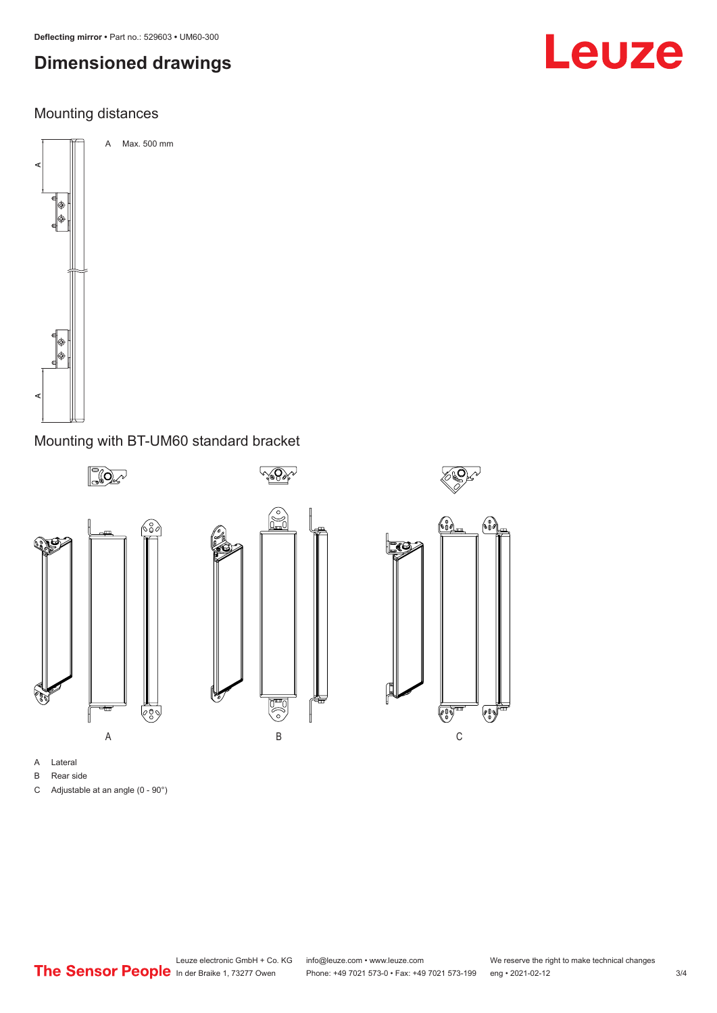# **Dimensioned drawings**

### Mounting distances



#### Mounting with BT-UM60 standard bracket



- A Lateral
- B Rear side
- C Adjustable at an angle (0 90°)